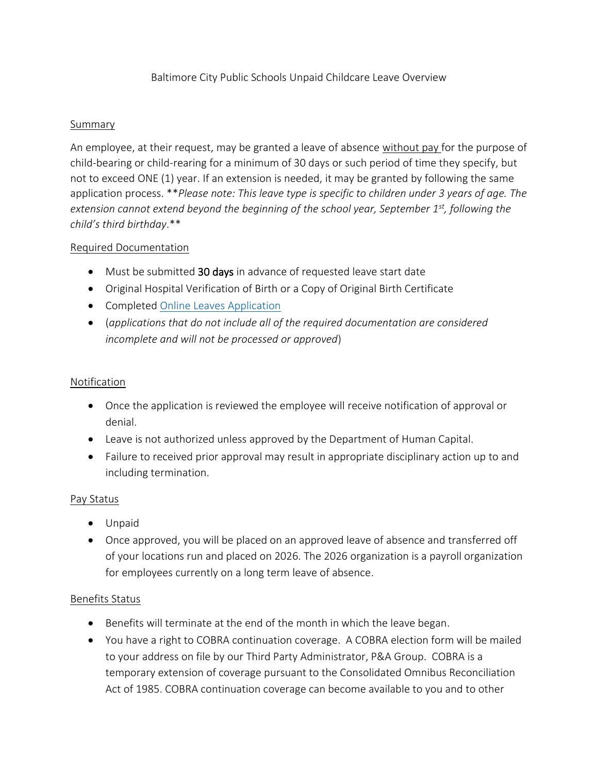# Baltimore City Public Schools Unpaid Childcare Leave Overview

## Summary

An employee, at their request, may be granted a leave of absence without pay for the purpose of child-bearing or child-rearing for a minimum of 30 days or such period of time they specify, but not to exceed ONE (1) year. If an extension is needed, it may be granted by following the same application process. \*\**Please note: This leave type is specific to children under 3 years of age. The extension cannot extend beyond the beginning of the school year, September 1st, following the child's third birthday*.\*\*

## Required Documentation

- Must be submitted 30 days in advance of requested leave start date
- Original Hospital Verification of Birth or a Copy of Original Birth Certificate
- Completed [Online Leaves Application](https://forms.office.com/Pages/ResponsePage.aspx?id=9LJbBuNvT0GpEPKIYwXIFBnhxb7D_0RFuekVM8XY2ktUNjVHUTQxREFHNVZCVVlQRFdRNDRaNEJSMSQlQCN0PWcu)
- (*applications that do not include all of the required documentation are considered incomplete and will not be processed or approved*)

# Notification

- Once the application is reviewed the employee will receive notification of approval or denial.
- Leave is not authorized unless approved by the Department of Human Capital.
- Failure to received prior approval may result in appropriate disciplinary action up to and including termination.

#### Pay Status

- Unpaid
- Once approved, you will be placed on an approved leave of absence and transferred off of your locations run and placed on 2026. The 2026 organization is a payroll organization for employees currently on a long term leave of absence.

#### Benefits Status

- Benefits will terminate at the end of the month in which the leave began.
- You have a right to COBRA continuation coverage. A COBRA election form will be mailed to your address on file by our Third Party Administrator, P&A Group. COBRA is a temporary extension of coverage pursuant to the Consolidated Omnibus Reconciliation Act of 1985. COBRA continuation coverage can become available to you and to other